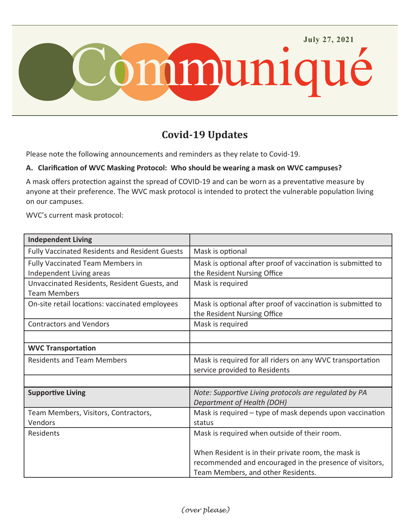

# **Covid-19 Updates**

Please note the following announcements and reminders as they relate to Covid-19.

#### **A. Clarification of WVC Masking Protocol: Who should be wearing a mask on WVC campuses?**

A mask offers protection against the spread of COVID-19 and can be worn as a preventative measure by anyone at their preference. The WVC mask protocol is intended to protect the vulnerable population living on our campuses.

WVC's current mask protocol:

| <b>Independent Living</b>                                           |                                                                                               |
|---------------------------------------------------------------------|-----------------------------------------------------------------------------------------------|
| <b>Fully Vaccinated Residents and Resident Guests</b>               | Mask is optional                                                                              |
| <b>Fully Vaccinated Team Members in</b><br>Independent Living areas | Mask is optional after proof of vaccination is submitted to<br>the Resident Nursing Office    |
| Unvaccinated Residents, Resident Guests, and<br><b>Team Members</b> | Mask is required                                                                              |
| On-site retail locations: vaccinated employees                      | Mask is optional after proof of vaccination is submitted to<br>the Resident Nursing Office    |
| <b>Contractors and Vendors</b>                                      | Mask is required                                                                              |
|                                                                     |                                                                                               |
| <b>WVC Transportation</b>                                           |                                                                                               |
| <b>Residents and Team Members</b>                                   | Mask is required for all riders on any WVC transportation<br>service provided to Residents    |
|                                                                     |                                                                                               |
| <b>Supportive Living</b>                                            | Note: Supportive Living protocols are regulated by PA<br>Department of Health (DOH)           |
| Team Members, Visitors, Contractors,<br>Vendors                     | Mask is required $-$ type of mask depends upon vaccination<br>status                          |
| Residents                                                           | Mask is required when outside of their room.                                                  |
|                                                                     | When Resident is in their private room, the mask is                                           |
|                                                                     | recommended and encouraged in the presence of visitors,<br>Team Members, and other Residents. |